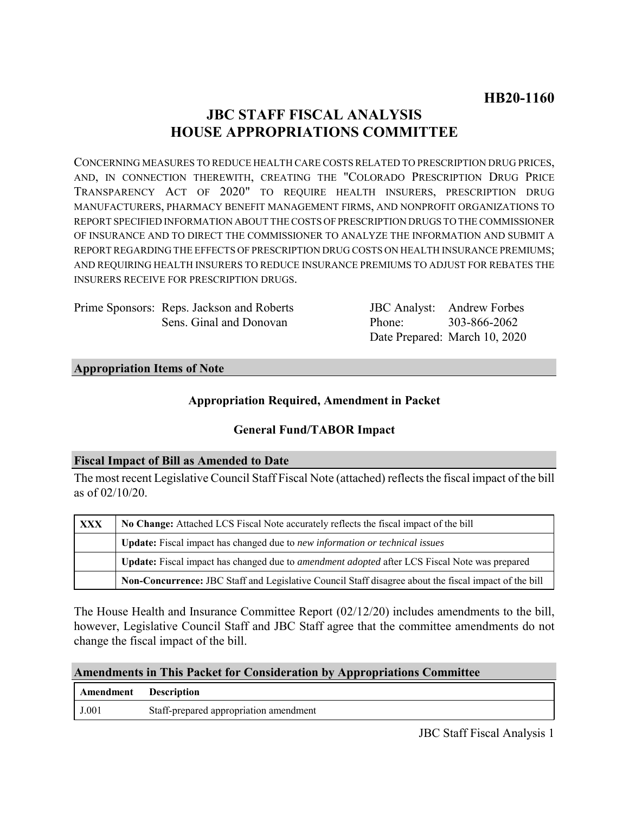# **JBC STAFF FISCAL ANALYSIS HOUSE APPROPRIATIONS COMMITTEE**

CONCERNING MEASURES TO REDUCE HEALTH CARE COSTS RELATED TO PRESCRIPTION DRUG PRICES, AND, IN CONNECTION THEREWITH, CREATING THE "COLORADO PRESCRIPTION DRUG PRICE TRANSPARENCY ACT OF 2020" TO REQUIRE HEALTH INSURERS, PRESCRIPTION DRUG MANUFACTURERS, PHARMACY BENEFIT MANAGEMENT FIRMS, AND NONPROFIT ORGANIZATIONS TO REPORT SPECIFIED INFORMATION ABOUT THE COSTS OF PRESCRIPTION DRUGS TO THE COMMISSIONER OF INSURANCE AND TO DIRECT THE COMMISSIONER TO ANALYZE THE INFORMATION AND SUBMIT A REPORT REGARDING THE EFFECTS OF PRESCRIPTION DRUG COSTS ON HEALTH INSURANCE PREMIUMS; AND REQUIRING HEALTH INSURERS TO REDUCE INSURANCE PREMIUMS TO ADJUST FOR REBATES THE INSURERS RECEIVE FOR PRESCRIPTION DRUGS.

| Prime Sponsors: Reps. Jackson and Roberts |
|-------------------------------------------|
| Sens. Ginal and Donovan                   |

JBC Analyst: Andrew Forbes Phone: Date Prepared: March 10, 2020 303-866-2062

### **Appropriation Items of Note**

### **Appropriation Required, Amendment in Packet**

## **General Fund/TABOR Impact**

### **Fiscal Impact of Bill as Amended to Date**

The most recent Legislative Council Staff Fiscal Note (attached) reflects the fiscal impact of the bill as of 02/10/20.

| <b>XXX</b> | No Change: Attached LCS Fiscal Note accurately reflects the fiscal impact of the bill                       |  |
|------------|-------------------------------------------------------------------------------------------------------------|--|
|            | <b>Update:</b> Fiscal impact has changed due to new information or technical issues                         |  |
|            | <b>Update:</b> Fiscal impact has changed due to <i>amendment adopted</i> after LCS Fiscal Note was prepared |  |
|            | Non-Concurrence: JBC Staff and Legislative Council Staff disagree about the fiscal impact of the bill       |  |

The House Health and Insurance Committee Report (02/12/20) includes amendments to the bill, however, Legislative Council Staff and JBC Staff agree that the committee amendments do not change the fiscal impact of the bill.

### **Amendments in This Packet for Consideration by Appropriations Committee**

| Amendment | <b>Description</b>                     |
|-----------|----------------------------------------|
| J.001     | Staff-prepared appropriation amendment |